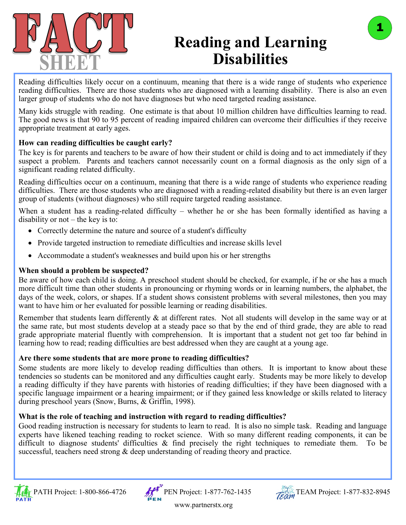

# **Reading and Learning Disabilities**

Reading difficulties likely occur on a continuum, meaning that there is a wide range of students who experience reading difficulties. There are those students who are diagnosed with a learning disability. There is also an even larger group of students who do not have diagnoses but who need targeted reading assistance.

Many kids struggle with reading. One estimate is that about 10 million children have difficulties learning to read. The good news is that 90 to 95 percent of reading impaired children can overcome their difficulties if they receive appropriate treatment at early ages.

#### **How can reading difficulties be caught early?**

The key is for parents and teachers to be aware of how their student or child is doing and to act immediately if they suspect a problem. Parents and teachers cannot necessarily count on a formal diagnosis as the only sign of a significant reading related difficulty.

Reading difficulties occur on a continuum, meaning that there is a wide range of students who experience reading difficulties. There are those students who are diagnosed with a reading-related disability but there is an even larger group of students (without diagnoses) who still require targeted reading assistance.

When a student has a reading-related difficulty – whether he or she has been formally identified as having a disability or not – the key is to:

- Correctly determine the nature and source of a student's difficulty
- Provide targeted instruction to remediate difficulties and increase skills level
- Accommodate a student's weaknesses and build upon his or her strengths

#### **When should a problem be suspected?**

Be aware of how each child is doing. A preschool student should be checked, for example, if he or she has a much more difficult time than other students in pronouncing or rhyming words or in learning numbers, the alphabet, the days of the week, colors, or shapes. If a student shows consistent problems with several milestones, then you may want to have him or her evaluated for possible learning or reading disabilities.

Remember that students learn differently  $\&$  at different rates. Not all students will develop in the same way or at the same rate, but most students develop at a steady pace so that by the end of third grade, they are able to read grade appropriate material fluently with comprehension. It is important that a student not get too far behind in learning how to read; reading difficulties are best addressed when they are caught at a young age.

#### **Are there some students that are more prone to reading difficulties?**

Some students are more likely to develop reading difficulties than others. It is important to know about these tendencies so students can be monitored and any difficulties caught early. Students may be more likely to develop a reading difficulty if they have parents with histories of reading difficulties; if they have been diagnosed with a specific language impairment or a hearing impairment; or if they gained less knowledge or skills related to literacy during preschool years (Snow, Burns, & Griffin, 1998).

#### **What is the role of teaching and instruction with regard to reading difficulties?**

Good reading instruction is necessary for students to learn to read. It is also no simple task. Reading and language experts have likened teaching reading to rocket science. With so many different reading components, it can be difficult to diagnose students' difficulties & find precisely the right techniques to remediate them. To be successful, teachers need strong & deep understanding of reading theory and practice.